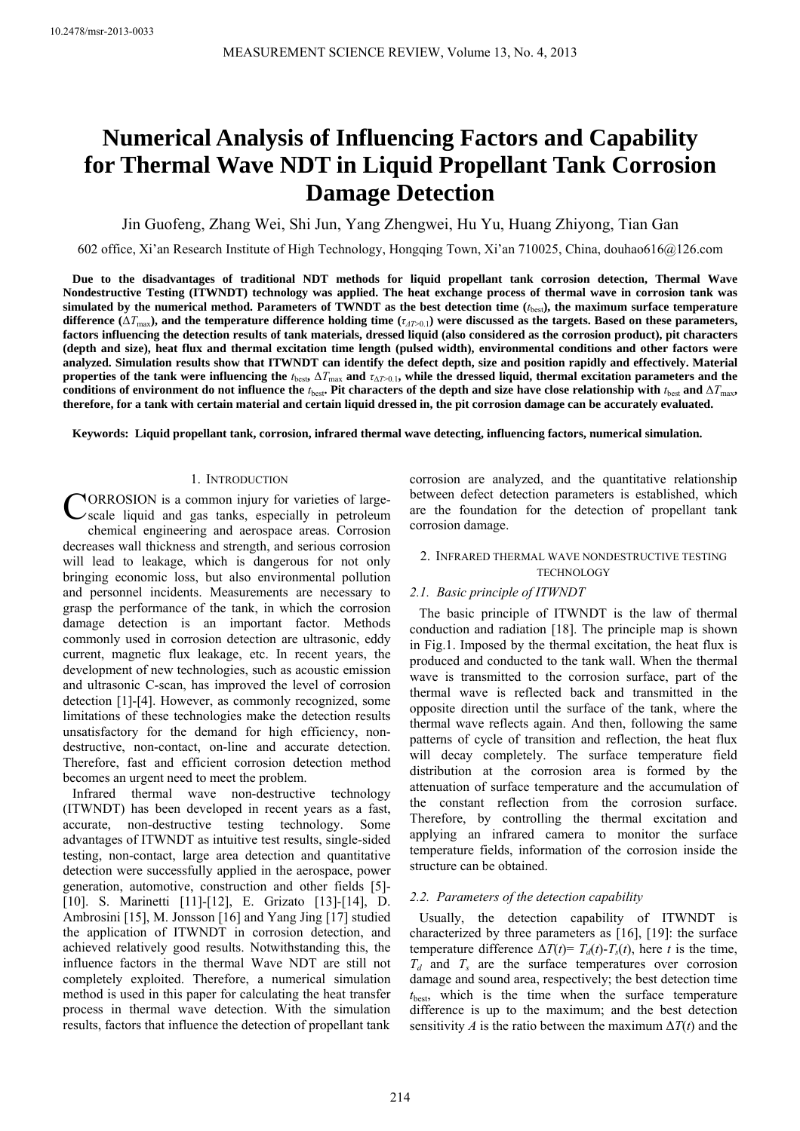# **Numerical Analysis of Influencing Factors and Capability for Thermal Wave NDT in Liquid Propellant Tank Corrosion Damage Detection**

Jin Guofeng, Zhang Wei, Shi Jun, Yang Zhengwei, Hu Yu, Huang Zhiyong, Tian Gan

602 office, Xi'an Research Institute of High Technology, Hongqing Town, Xi'an 710025, China, douhao616@126.com

**Due to the disadvantages of traditional NDT methods for liquid propellant tank corrosion detection, Thermal Wave Nondestructive Testing (ITWNDT) technology was applied. The heat exchange process of thermal wave in corrosion tank was simulated by the numerical method. Parameters of TWNDT as the best detection time (***t*best**), the maximum surface temperature**  difference ( $\Delta T_{\text{max}}$ ), and the temperature difference holding time ( $\tau_{\text{AD}}$ ) were discussed as the targets. Based on these parameters, **factors influencing the detection results of tank materials, dressed liquid (also considered as the corrosion product), pit characters (depth and size), heat flux and thermal excitation time length (pulsed width), environmental conditions and other factors were analyzed. Simulation results show that ITWNDT can identify the defect depth, size and position rapidly and effectively. Material properties of the tank were influencing the**  $t_{\text{best}}$ ,  $\Delta T_{\text{max}}$  and  $\tau_{\Delta T>0.1}$ , while the dressed liquid, thermal excitation parameters and the conditions of environment do not influence the  $t_{\text{best}}$ . Pit characters of the depth and size have close relationship with  $t_{\text{best}}$  and  $\Delta T_{\text{max}}$ , **therefore, for a tank with certain material and certain liquid dressed in, the pit corrosion damage can be accurately evaluated.** 

**Keywords: Liquid propellant tank, corrosion, infrared thermal wave detecting, influencing factors, numerical simulation.** 

## 1. INTRODUCTION

CORROSION is a common injury for varieties of large-<br>
scale liquid and gas tanks, especially in petroleum scale liquid and gas tanks, especially in petroleum chemical engineering and aerospace areas. Corrosion decreases wall thickness and strength, and serious corrosion will lead to leakage, which is dangerous for not only bringing economic loss, but also environmental pollution and personnel incidents. Measurements are necessary to grasp the performance of the tank, in which the corrosion damage detection is an important factor. Methods commonly used in corrosion detection are ultrasonic, eddy current, magnetic flux leakage, etc. In recent years, the development of new technologies, such as acoustic emission and ultrasonic C-scan, has improved the level of corrosion detection [1]-[4]. However, as commonly recognized, some limitations of these technologies make the detection results unsatisfactory for the demand for high efficiency, nondestructive, non-contact, on-line and accurate detection. Therefore, fast and efficient corrosion detection method becomes an urgent need to meet the problem.

Infrared thermal wave non-destructive technology (ITWNDT) has been developed in recent years as a fast, accurate, non-destructive testing technology. Some advantages of ITWNDT as intuitive test results, single-sided testing, non-contact, large area detection and quantitative detection were successfully applied in the aerospace, power generation, automotive, construction and other fields [5]- [10]. S. Marinetti [11]-[12], E. Grizato [13]-[14], D. Ambrosini [15], M. Jonsson [16] and Yang Jing [17] studied the application of ITWNDT in corrosion detection, and achieved relatively good results. Notwithstanding this, the influence factors in the thermal Wave NDT are still not completely exploited. Therefore, a numerical simulation method is used in this paper for calculating the heat transfer process in thermal wave detection. With the simulation results, factors that influence the detection of propellant tank

corrosion are analyzed, and the quantitative relationship between defect detection parameters is established, which are the foundation for the detection of propellant tank corrosion damage.

## 2. INFRARED THERMAL WAVE NONDESTRUCTIVE TESTING **TECHNOLOGY**

# *2.1. Basic principle of ITWNDT*

The basic principle of ITWNDT is the law of thermal conduction and radiation [18]. The principle map is shown in Fig.1. Imposed by the thermal excitation, the heat flux is produced and conducted to the tank wall. When the thermal wave is transmitted to the corrosion surface, part of the thermal wave is reflected back and transmitted in the opposite direction until the surface of the tank, where the thermal wave reflects again. And then, following the same patterns of cycle of transition and reflection, the heat flux will decay completely. The surface temperature field distribution at the corrosion area is formed by the attenuation of surface temperature and the accumulation of the constant reflection from the corrosion surface. Therefore, by controlling the thermal excitation and applying an infrared camera to monitor the surface temperature fields, information of the corrosion inside the structure can be obtained.

# *2.2. Parameters of the detection capability*

Usually, the detection capability of ITWNDT is characterized by three parameters as [16], [19]: the surface temperature difference  $\Delta T(t) = T_d(t) - T_s(t)$ , here *t* is the time,  $T<sub>d</sub>$  and  $T<sub>s</sub>$  are the surface temperatures over corrosion damage and sound area, respectively; the best detection time *t*best, which is the time when the surface temperature difference is up to the maximum; and the best detection sensitivity *A* is the ratio between the maximum  $\Delta T(t)$  and the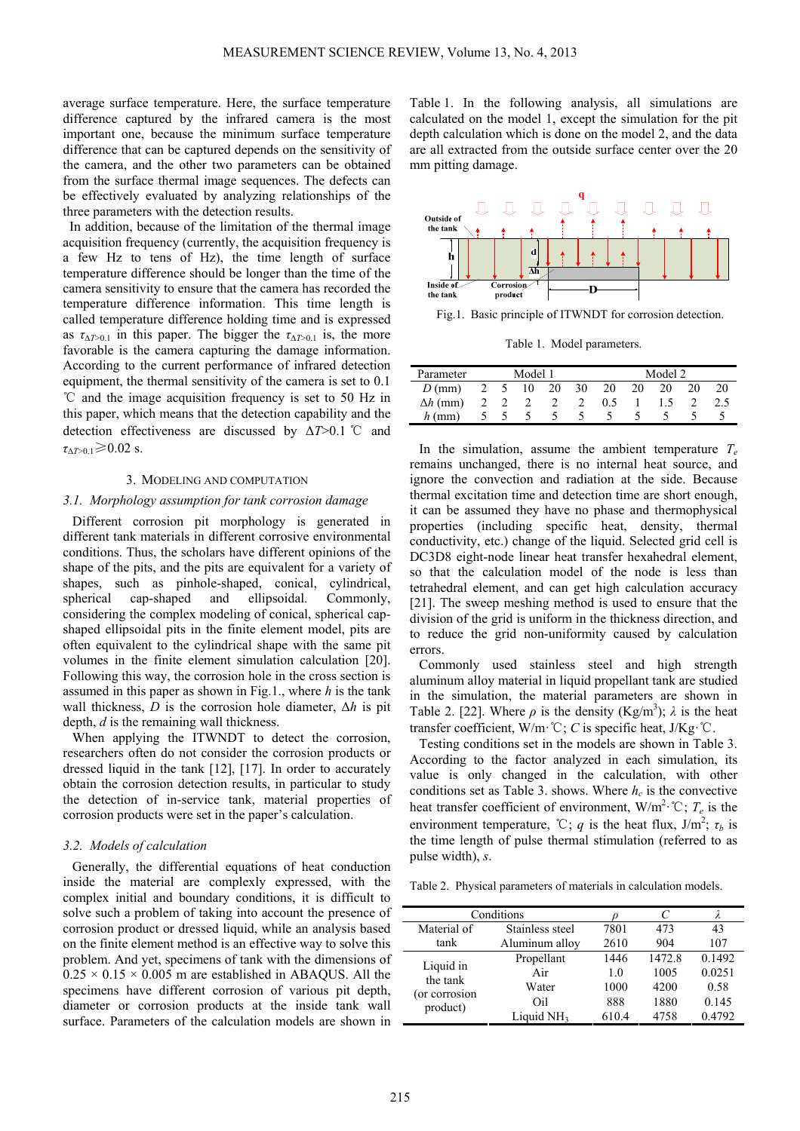average surface temperature. Here, the surface temperature difference captured by the infrared camera is the most important one, because the minimum surface temperature difference that can be captured depends on the sensitivity of the camera, and the other two parameters can be obtained from the surface thermal image sequences. The defects can be effectively evaluated by analyzing relationships of the three parameters with the detection results.

In addition, because of the limitation of the thermal image acquisition frequency (currently, the acquisition frequency is a few Hz to tens of Hz), the time length of surface temperature difference should be longer than the time of the camera sensitivity to ensure that the camera has recorded the temperature difference information. This time length is called temperature difference holding time and is expressed as  $\tau_{\Delta T>0.1}$  in this paper. The bigger the  $\tau_{\Delta T>0.1}$  is, the more favorable is the camera capturing the damage information. According to the current performance of infrared detection equipment, the thermal sensitivity of the camera is set to 0.1 ℃ and the image acquisition frequency is set to 50 Hz in this paper, which means that the detection capability and the detection effectiveness are discussed by Δ*T*>0.1 ℃ and  $\tau_{\Delta T>0.1}$  ≥ 0.02 s.

### 3. MODELING AND COMPUTATION

#### *3.1. Morphology assumption for tank corrosion damage*

Different corrosion pit morphology is generated in different tank materials in different corrosive environmental conditions. Thus, the scholars have different opinions of the shape of the pits, and the pits are equivalent for a variety of shapes, such as pinhole-shaped, conical, cylindrical, spherical cap-shaped and ellipsoidal. Commonly, considering the complex modeling of conical, spherical capshaped ellipsoidal pits in the finite element model, pits are often equivalent to the cylindrical shape with the same pit volumes in the finite element simulation calculation [20]. Following this way, the corrosion hole in the cross section is assumed in this paper as shown in Fig.1., where *h* is the tank wall thickness,  $D$  is the corrosion hole diameter,  $\Delta h$  is pit depth, *d* is the remaining wall thickness.

When applying the ITWNDT to detect the corrosion, researchers often do not consider the corrosion products or dressed liquid in the tank [12], [17]. In order to accurately obtain the corrosion detection results, in particular to study the detection of in-service tank, material properties of corrosion products were set in the paper's calculation.

### *3.2. Models of calculation*

Generally, the differential equations of heat conduction inside the material are complexly expressed, with the complex initial and boundary conditions, it is difficult to solve such a problem of taking into account the presence of corrosion product or dressed liquid, while an analysis based on the finite element method is an effective way to solve this problem. And yet, specimens of tank with the dimensions of  $0.25 \times 0.15 \times 0.005$  m are established in ABAQUS. All the specimens have different corrosion of various pit depth, diameter or corrosion products at the inside tank wall surface. Parameters of the calculation models are shown in

Table 1. In the following analysis, all simulations are calculated on the model 1, except the simulation for the pit depth calculation which is done on the model 2, and the data are all extracted from the outside surface center over the 20 mm pitting damage.



Fig.1. Basic principle of ITWNDT for corrosion detection.

Table 1. Model parameters.

| Parameter       | Model 1 |  |       |    | Model 2 |     |    |    |    |     |
|-----------------|---------|--|-------|----|---------|-----|----|----|----|-----|
| $D$ (mm)        |         |  | 5 10  | 20 | 30      | 20  | 20 | 20 | 20 | 20  |
| $\Delta h$ (mm) |         |  | 2 2 2 |    |         | 0.5 |    | 15 |    | 2.5 |
| $h$ (mm)        |         |  |       |    |         |     |    |    |    |     |

In the simulation, assume the ambient temperature  $T_e$ remains unchanged, there is no internal heat source, and ignore the convection and radiation at the side. Because thermal excitation time and detection time are short enough, it can be assumed they have no phase and thermophysical properties (including specific heat, density, thermal conductivity, etc.) change of the liquid. Selected grid cell is DC3D8 eight-node linear heat transfer hexahedral element, so that the calculation model of the node is less than tetrahedral element, and can get high calculation accuracy [21]. The sweep meshing method is used to ensure that the division of the grid is uniform in the thickness direction, and to reduce the grid non-uniformity caused by calculation errors.

Commonly used stainless steel and high strength aluminum alloy material in liquid propellant tank are studied in the simulation, the material parameters are shown in Table 2. [22]. Where  $\rho$  is the density (Kg/m<sup>3</sup>);  $\lambda$  is the heat transfer coefficient, W/m·℃; *С* is specific heat, J/Kg·℃.

Testing conditions set in the models are shown in Table 3. According to the factor analyzed in each simulation, its value is only changed in the calculation, with other conditions set as Table 3. shows. Where  $h_c$  is the convective heat transfer coefficient of environment,  $W/m^2$  °C;  $T_e$  is the environment temperature, °C; *q* is the heat flux,  $J/m^2$ ;  $\tau_b$  is the time length of pulse thermal stimulation (referred to as pulse width), *s*.

Table 2. Physical parameters of materials in calculation models.

| Conditions                                         |                 |       |        |        |
|----------------------------------------------------|-----------------|-------|--------|--------|
| Material of                                        | Stainless steel | 7801  | 473    | 43     |
| tank                                               | Aluminum alloy  | 2610  | 904    | 107    |
| Liquid in<br>the tank<br>(or corrosion<br>product) | Propellant      | 1446  | 1472.8 | 0.1492 |
|                                                    | Air             | 1.0   | 1005   | 0.0251 |
|                                                    | Water           | 1000  | 4200   | 0.58   |
|                                                    | Oil             | 888   | 1880   | 0.145  |
|                                                    | Liquid $NH3$    | 610.4 | 4758   | 0.4792 |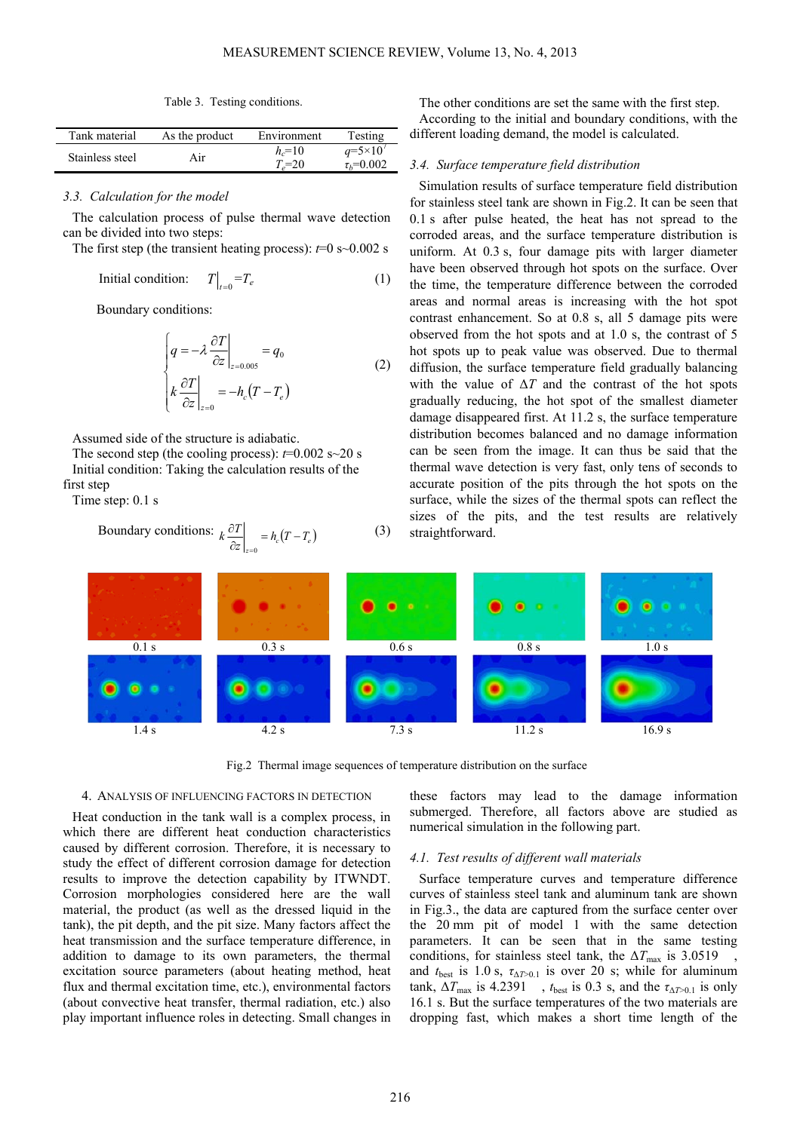Table 3. Testing conditions.

| Tank material   | As the product | Environment | Testing            |
|-----------------|----------------|-------------|--------------------|
| Stainless steel | Air            | $h = 10$    | $q = 5 \times 10'$ |
|                 |                | $T=20$      | $\tau_b = 0.002$   |

# *3.3. Calculation for the model*

The calculation process of pulse thermal wave detection can be divided into two steps:

The first step (the transient heating process):  $t=0$  s $\sim 0.002$  s

Initial condition: 
$$
T\big|_{t=0} = T_e
$$
 (1)

Boundary conditions:

$$
\begin{cases}\n q = -\lambda \left. \frac{\partial T}{\partial z} \right|_{z=0.005} = q_0 \\
 k \left. \frac{\partial T}{\partial z} \right|_{z=0} = -h_c (T - T_e)\n\end{cases}
$$
\n(2)

Assumed side of the structure is adiabatic.

The second step (the cooling process):  $t=0.002$  s $\sim$ 20 s Initial condition: Taking the calculation results of the first step

Time step: 0.1 s

Boundary conditions: 
$$
k \frac{\partial T}{\partial z}\Big|_{z=0} = h_c(T - T_e)
$$
 (3)

The other conditions are set the same with the first step. According to the initial and boundary conditions, with the different loading demand, the model is calculated.

## *3.4. Surface temperature field distribution*

Simulation results of surface temperature field distribution for stainless steel tank are shown in Fig.2. It can be seen that 0.1 s after pulse heated, the heat has not spread to the corroded areas, and the surface temperature distribution is uniform. At 0.3 s, four damage pits with larger diameter have been observed through hot spots on the surface. Over the time, the temperature difference between the corroded areas and normal areas is increasing with the hot spot contrast enhancement. So at 0.8 s, all 5 damage pits were observed from the hot spots and at 1.0 s, the contrast of 5 hot spots up to peak value was observed. Due to thermal diffusion, the surface temperature field gradually balancing with the value of  $\Delta T$  and the contrast of the hot spots gradually reducing, the hot spot of the smallest diameter damage disappeared first. At 11.2 s, the surface temperature distribution becomes balanced and no damage information can be seen from the image. It can thus be said that the thermal wave detection is very fast, only tens of seconds to accurate position of the pits through the hot spots on the surface, while the sizes of the thermal spots can reflect the sizes of the pits, and the test results are relatively straightforward.



Fig.2 Thermal image sequences of temperature distribution on the surface

## 4. ANALYSIS OF INFLUENCING FACTORS IN DETECTION

Heat conduction in the tank wall is a complex process, in which there are different heat conduction characteristics caused by different corrosion. Therefore, it is necessary to study the effect of different corrosion damage for detection results to improve the detection capability by ITWNDT. Corrosion morphologies considered here are the wall material, the product (as well as the dressed liquid in the tank), the pit depth, and the pit size. Many factors affect the heat transmission and the surface temperature difference, in addition to damage to its own parameters, the thermal excitation source parameters (about heating method, heat flux and thermal excitation time, etc.), environmental factors (about convective heat transfer, thermal radiation, etc.) also play important influence roles in detecting. Small changes in

these factors may lead to the damage information submerged. Therefore, all factors above are studied as numerical simulation in the following part.

## *4.1. Test results of different wall materials*

Surface temperature curves and temperature difference curves of stainless steel tank and aluminum tank are shown in Fig.3., the data are captured from the surface center over the 20 mm pit of model 1 with the same detection parameters. It can be seen that in the same testing conditions, for stainless steel tank, the  $\Delta T_{\text{max}}$  is 3.0519, and  $t_{best}$  is 1.0 s,  $\tau_{\Delta T>0.1}$  is over 20 s; while for aluminum tank,  $\Delta T_{\text{max}}$  is 4.2391 ,  $t_{\text{best}}$  is 0.3 s, and the  $\tau_{\Delta T>0.1}$  is only 16.1 s. But the surface temperatures of the two materials are dropping fast, which makes a short time length of the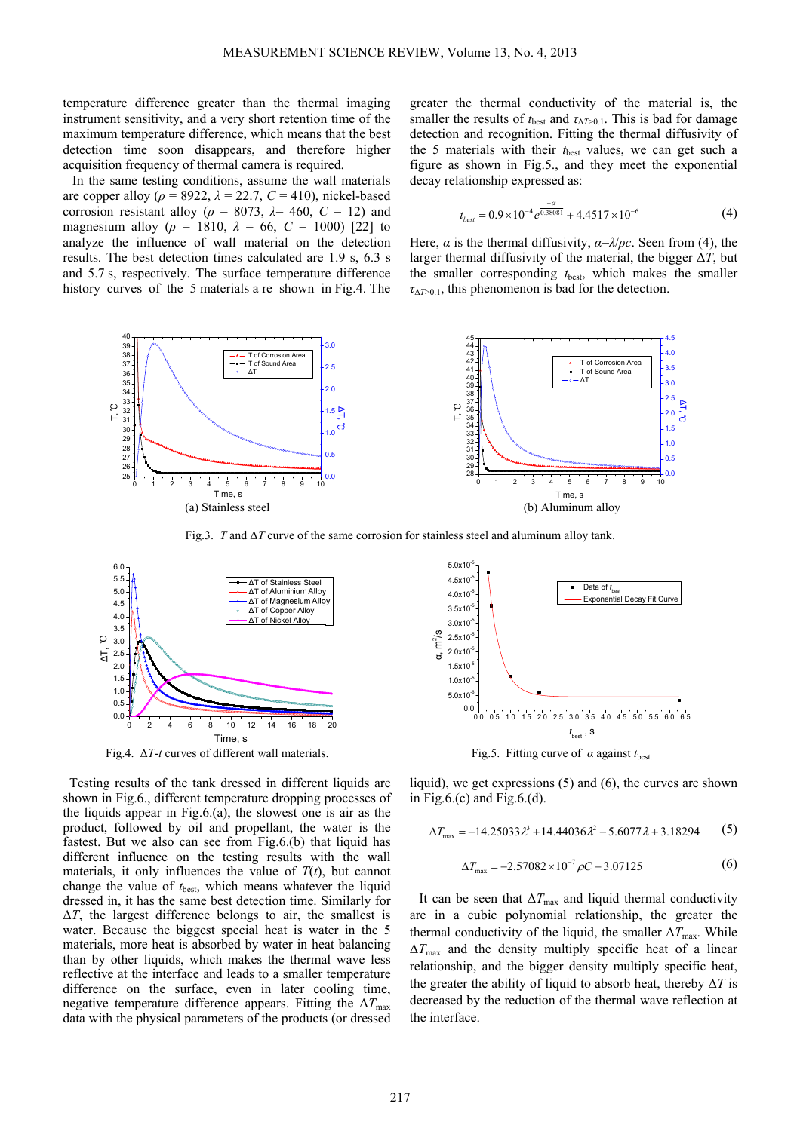temperature difference greater than the thermal imaging instrument sensitivity, and a very short retention time of the maximum temperature difference, which means that the best detection time soon disappears, and therefore higher acquisition frequency of thermal camera is required.

In the same testing conditions, assume the wall materials are copper alloy ( $\rho = 8922$ ,  $\lambda = 22.7$ ,  $C = 410$ ), nickel-based corrosion resistant alloy ( $\rho = 8073$ ,  $\lambda = 460$ ,  $C = 12$ ) and magnesium alloy ( $\rho = 1810$ ,  $\lambda = 66$ ,  $C = 1000$ ) [22] to analyze the influence of wall material on the detection results. The best detection times calculated are 1.9 s, 6.3 s and 5.7 s, respectively. The surface temperature difference history curves of the 5 materials a re shown in Fig.4. The greater the thermal conductivity of the material is, the smaller the results of  $t_{best}$  and  $\tau_{\Delta T>0.1}$ . This is bad for damage detection and recognition. Fitting the thermal diffusivity of the 5 materials with their  $t_{best}$  values, we can get such a figure as shown in Fig.5., and they meet the exponential decay relationship expressed as:

$$
t_{best} = 0.9 \times 10^{-4} e^{\frac{-\alpha}{0.38081}} + 4.4517 \times 10^{-6}
$$
 (4)

Here,  $\alpha$  is the thermal diffusivity,  $\alpha = \lambda/\rho c$ . Seen from (4), the larger thermal diffusivity of the material, the bigger Δ*T*, but the smaller corresponding  $t_{\text{best}}$ , which makes the smaller  $\tau_{\Delta T>0.1}$ , this phenomenon is bad for the detection.



Fig.3. *T* and Δ*T* curve of the same corrosion for stainless steel and aluminum alloy tank.



Testing results of the tank dressed in different liquids are shown in Fig.6., different temperature dropping processes of the liquids appear in Fig.6.(a), the slowest one is air as the product, followed by oil and propellant, the water is the fastest. But we also can see from Fig.6.(b) that liquid has different influence on the testing results with the wall materials, it only influences the value of  $T(t)$ , but cannot change the value of  $t_{best}$ , which means whatever the liquid dressed in, it has the same best detection time. Similarly for  $\Delta T$ , the largest difference belongs to air, the smallest is water. Because the biggest special heat is water in the 5 materials, more heat is absorbed by water in heat balancing than by other liquids, which makes the thermal wave less reflective at the interface and leads to a smaller temperature difference on the surface, even in later cooling time, negative temperature difference appears. Fitting the  $\Delta T_{\text{max}}$ data with the physical parameters of the products (or dressed



liquid), we get expressions (5) and (6), the curves are shown in Fig.6.(c) and Fig.6.(d).

$$
\Delta T_{\text{max}} = -14.25033 \lambda^3 + 14.44036 \lambda^2 - 5.6077 \lambda + 3.18294
$$
 (5)

$$
\Delta T_{\text{max}} = -2.57082 \times 10^{-7} \rho C + 3.07125 \tag{6}
$$

It can be seen that  $\Delta T_{\text{max}}$  and liquid thermal conductivity are in a cubic polynomial relationship, the greater the thermal conductivity of the liquid, the smaller  $\Delta T_{\text{max}}$ . While  $\Delta T_{\text{max}}$  and the density multiply specific heat of a linear relationship, and the bigger density multiply specific heat, the greater the ability of liquid to absorb heat, thereby  $\Delta T$  is decreased by the reduction of the thermal wave reflection at the interface.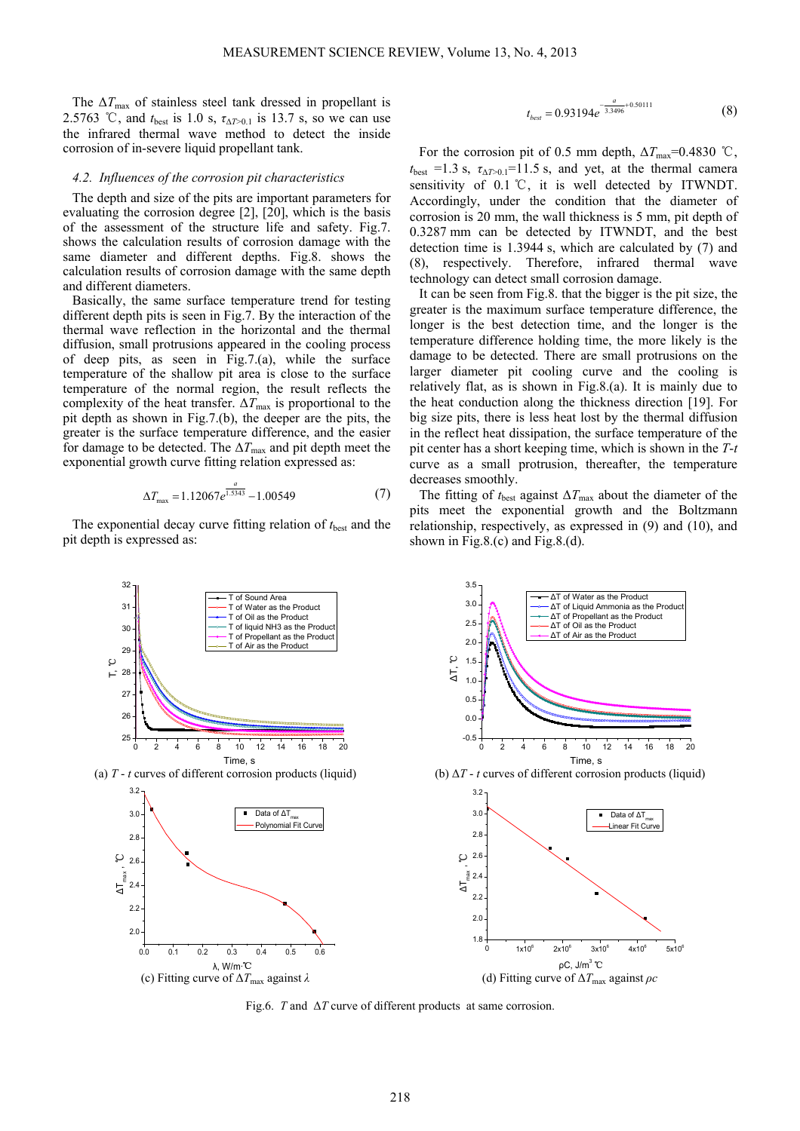The  $\Delta T_{\text{max}}$  of stainless steel tank dressed in propellant is 2.5763 °C, and  $t_{best}$  is 1.0 s,  $\tau_{\Delta T > 0.1}$  is 13.7 s, so we can use the infrared thermal wave method to detect the inside corrosion of in-severe liquid propellant tank.

## *4.2. Influences of the corrosion pit characteristics*

The depth and size of the pits are important parameters for evaluating the corrosion degree [2], [20], which is the basis of the assessment of the structure life and safety. Fig.7. shows the calculation results of corrosion damage with the same diameter and different depths. Fig.8. shows the calculation results of corrosion damage with the same depth and different diameters.

Basically, the same surface temperature trend for testing different depth pits is seen in Fig.7. By the interaction of the thermal wave reflection in the horizontal and the thermal diffusion, small protrusions appeared in the cooling process of deep pits, as seen in Fig.7.(a), while the surface temperature of the shallow pit area is close to the surface temperature of the normal region, the result reflects the complexity of the heat transfer.  $\Delta T_{\text{max}}$  is proportional to the pit depth as shown in Fig.7.(b), the deeper are the pits, the greater is the surface temperature difference, and the easier for damage to be detected. The  $\Delta T_{\text{max}}$  and pit depth meet the exponential growth curve fitting relation expressed as:

$$
\Delta T_{\text{max}} = 1.12067 e^{\frac{a}{1.5343}} - 1.00549 \tag{7}
$$

The exponential decay curve fitting relation of  $t_{best}$  and the pit depth is expressed as:

$$
t_{best} = 0.93194e^{-\frac{a}{3.3496} + 0.50111}
$$
 (8)

For the corrosion pit of 0.5 mm depth,  $\Delta T_{\text{max}}$ =0.4830 °C,  $t_{\text{best}}$  =1.3 s,  $\tau_{\Delta T>0.1}$ =11.5 s, and yet, at the thermal camera sensitivity of 0.1 ℃, it is well detected by ITWNDT. Accordingly, under the condition that the diameter of corrosion is 20 mm, the wall thickness is 5 mm, pit depth of 0.3287 mm can be detected by ITWNDT, and the best detection time is 1.3944 s, which are calculated by (7) and (8), respectively. Therefore, infrared thermal wave technology can detect small corrosion damage.

It can be seen from Fig.8. that the bigger is the pit size, the greater is the maximum surface temperature difference, the longer is the best detection time, and the longer is the temperature difference holding time, the more likely is the damage to be detected. There are small protrusions on the larger diameter pit cooling curve and the cooling is relatively flat, as is shown in Fig.8.(a). It is mainly due to the heat conduction along the thickness direction [19]. For big size pits, there is less heat lost by the thermal diffusion in the reflect heat dissipation, the surface temperature of the pit center has a short keeping time, which is shown in the *T*-*t* curve as a small protrusion, thereafter, the temperature decreases smoothly.

The fitting of  $t_{\text{best}}$  against  $\Delta T_{\text{max}}$  about the diameter of the pits meet the exponential growth and the Boltzmann relationship, respectively, as expressed in (9) and (10), and shown in Fig.8.(c) and Fig.8.(d).



Fig.6. *T* and Δ*T* curve of different products at same corrosion.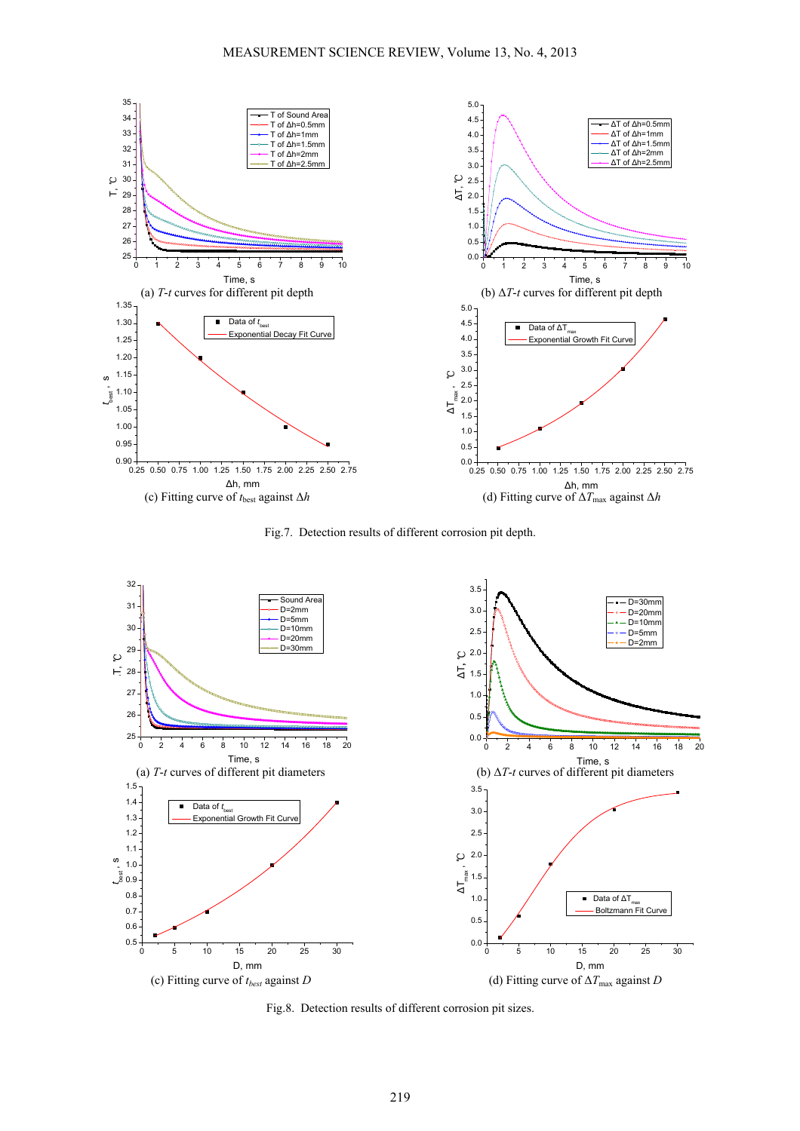

Fig.7. Detection results of different corrosion pit depth.



Fig.8. Detection results of different corrosion pit sizes.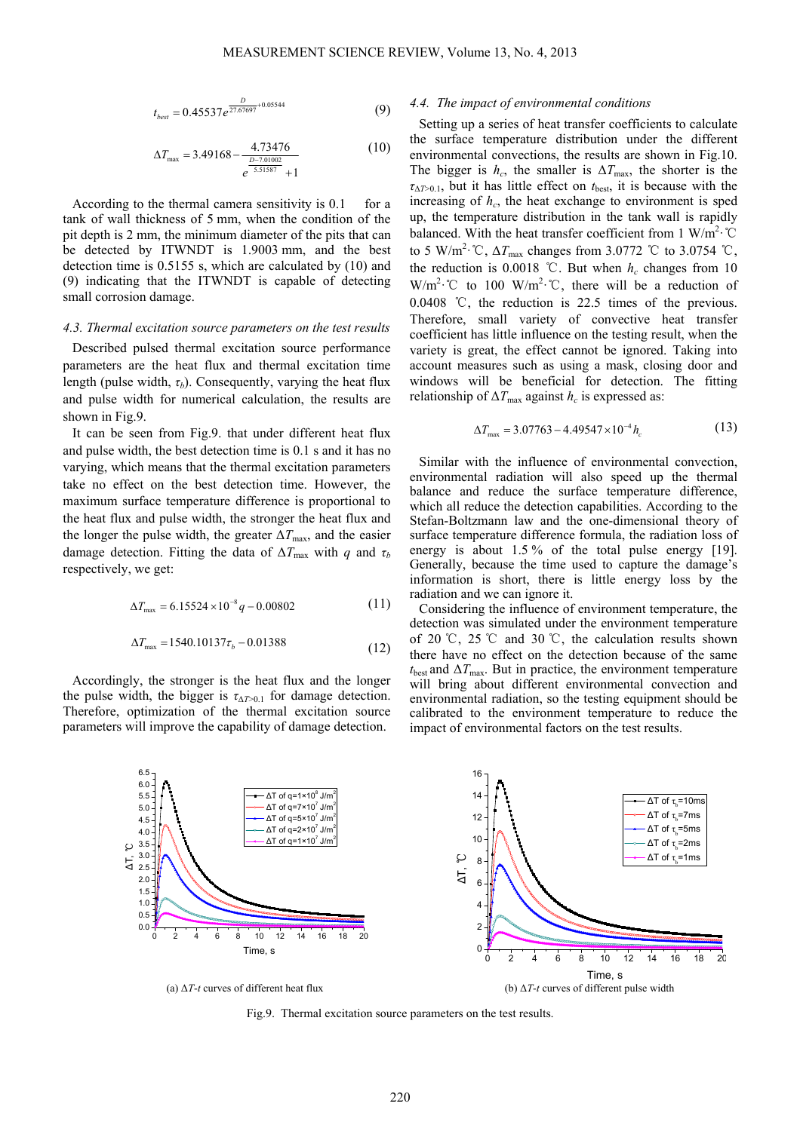$$
t_{best} = 0.45537e^{\frac{D}{27.67697} + 0.05544}
$$
 (9)

$$
\Delta T_{\text{max}} = 3.49168 - \frac{4.73476}{\frac{D - 7.01002}{2.51587} + 1}
$$
 (10)

According to the thermal camera sensitivity is 0.1 for a tank of wall thickness of 5 mm, when the condition of the pit depth is 2 mm, the minimum diameter of the pits that can be detected by ITWNDT is 1.9003 mm, and the best detection time is 0.5155 s, which are calculated by (10) and (9) indicating that the ITWNDT is capable of detecting small corrosion damage.

# *4.3. Thermal excitation source parameters on the test results*

Described pulsed thermal excitation source performance parameters are the heat flux and thermal excitation time length (pulse width,  $\tau_b$ ). Consequently, varying the heat flux and pulse width for numerical calculation, the results are shown in Fig.9.

It can be seen from Fig.9. that under different heat flux and pulse width, the best detection time is 0.1 s and it has no varying, which means that the thermal excitation parameters take no effect on the best detection time. However, the maximum surface temperature difference is proportional to the heat flux and pulse width, the stronger the heat flux and the longer the pulse width, the greater  $\Delta T_{\text{max}}$ , and the easier damage detection. Fitting the data of  $\Delta T_{\text{max}}$  with *q* and  $\tau_b$ respectively, we get:

$$
\Delta T_{\text{max}} = 6.15524 \times 10^{-8} q - 0.00802 \tag{11}
$$

$$
\Delta T_{\text{max}} = 1540.10137\tau_b - 0.01388\tag{12}
$$

Accordingly, the stronger is the heat flux and the longer the pulse width, the bigger is  $\tau_{\Delta T>0.1}$  for damage detection. Therefore, optimization of the thermal excitation source parameters will improve the capability of damage detection.

## *4.4. The impact of environmental conditions*

Setting up a series of heat transfer coefficients to calculate the surface temperature distribution under the different environmental convections, the results are shown in Fig.10. The bigger is  $h_c$ , the smaller is  $\Delta T_{\text{max}}$ , the shorter is the  $\tau_{\Delta T>0.1}$ , but it has little effect on  $t_{\text{best}}$ , it is because with the increasing of  $h_c$ , the heat exchange to environment is sped up, the temperature distribution in the tank wall is rapidly balanced. With the heat transfer coefficient from 1 W/m<sup>2</sup>·°C to 5 W/m<sup>2</sup>·°C,  $\Delta T_{\text{max}}$  changes from 3.0772 °C to 3.0754 °C, the reduction is  $0.0018$  °C. But when  $h_c$  changes from 10 W/m<sup>2</sup>·°C to 100 W/m<sup>2</sup>·°C, there will be a reduction of 0.0408 ℃, the reduction is 22.5 times of the previous. Therefore, small variety of convective heat transfer coefficient has little influence on the testing result, when the variety is great, the effect cannot be ignored. Taking into account measures such as using a mask, closing door and windows will be beneficial for detection. The fitting relationship of  $\Delta T_{\text{max}}$  against  $h_c$  is expressed as:

$$
\Delta T_{\text{max}} = 3.07763 - 4.49547 \times 10^{-4} h_c \tag{13}
$$

Similar with the influence of environmental convection, environmental radiation will also speed up the thermal balance and reduce the surface temperature difference, which all reduce the detection capabilities. According to the Stefan-Boltzmann law and the one-dimensional theory of surface temperature difference formula, the radiation loss of energy is about 1.5% of the total pulse energy [19]. Generally, because the time used to capture the damage's information is short, there is little energy loss by the radiation and we can ignore it.

Considering the influence of environment temperature, the detection was simulated under the environment temperature of 20 ℃, 25 ℃ and 30 ℃, the calculation results shown there have no effect on the detection because of the same  $t_{\text{best}}$  and  $\Delta T_{\text{max}}$ . But in practice, the environment temperature will bring about different environmental convection and environmental radiation, so the testing equipment should be calibrated to the environment temperature to reduce the impact of environmental factors on the test results.



Fig.9. Thermal excitation source parameters on the test results.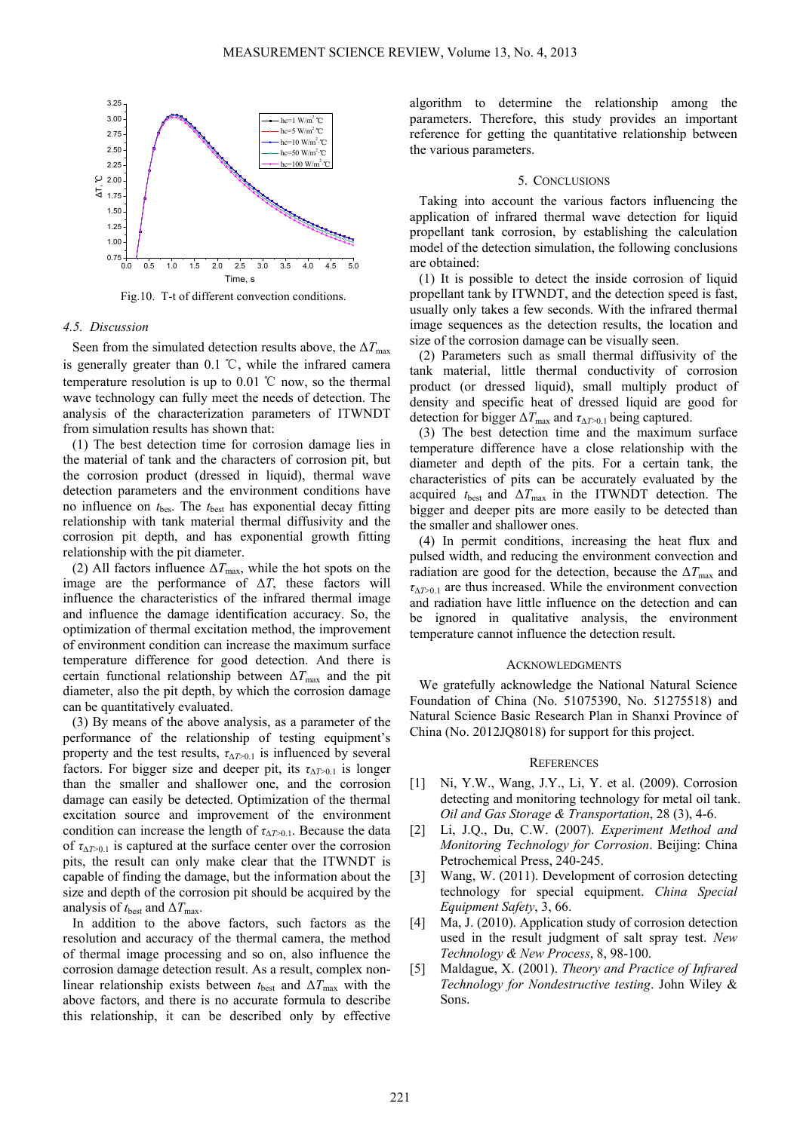

Fig.10. T-t of different convection conditions.

#### *4.5. Discussion*

Seen from the simulated detection results above, the  $\Delta T_{\text{max}}$ is generally greater than 0.1 ℃, while the infrared camera temperature resolution is up to  $0.01$  °C now, so the thermal wave technology can fully meet the needs of detection. The analysis of the characterization parameters of ITWNDT from simulation results has shown that:

(1) The best detection time for corrosion damage lies in the material of tank and the characters of corrosion pit, but the corrosion product (dressed in liquid), thermal wave detection parameters and the environment conditions have no influence on *t*bes. The *t*best has exponential decay fitting relationship with tank material thermal diffusivity and the corrosion pit depth, and has exponential growth fitting relationship with the pit diameter.

(2) All factors influence  $\Delta T_{\text{max}}$ , while the hot spots on the image are the performance of  $\Delta T$ , these factors will influence the characteristics of the infrared thermal image and influence the damage identification accuracy. So, the optimization of thermal excitation method, the improvement of environment condition can increase the maximum surface temperature difference for good detection. And there is certain functional relationship between  $\Delta T_{\text{max}}$  and the pit diameter, also the pit depth, by which the corrosion damage can be quantitatively evaluated.

(3) By means of the above analysis, as a parameter of the performance of the relationship of testing equipment's property and the test results,  $\tau_{\Delta T>0.1}$  is influenced by several factors. For bigger size and deeper pit, its  $\tau_{\Delta T>0.1}$  is longer than the smaller and shallower one, and the corrosion damage can easily be detected. Optimization of the thermal excitation source and improvement of the environment condition can increase the length of  $\tau_{\Delta T>0.1}$ . Because the data of  $\tau_{\Delta T>0.1}$  is captured at the surface center over the corrosion pits, the result can only make clear that the ITWNDT is capable of finding the damage, but the information about the size and depth of the corrosion pit should be acquired by the analysis of  $t_{\text{best}}$  and  $\Delta T_{\text{max}}$ .

In addition to the above factors, such factors as the resolution and accuracy of the thermal camera, the method of thermal image processing and so on, also influence the corrosion damage detection result. As a result, complex nonlinear relationship exists between  $t_{\text{best}}$  and  $\Delta T_{\text{max}}$  with the above factors, and there is no accurate formula to describe this relationship, it can be described only by effective algorithm to determine the relationship among the parameters. Therefore, this study provides an important reference for getting the quantitative relationship between the various parameters.

#### 5. CONCLUSIONS

Taking into account the various factors influencing the application of infrared thermal wave detection for liquid propellant tank corrosion, by establishing the calculation model of the detection simulation, the following conclusions are obtained:

(1) It is possible to detect the inside corrosion of liquid propellant tank by ITWNDT, and the detection speed is fast, usually only takes a few seconds. With the infrared thermal image sequences as the detection results, the location and size of the corrosion damage can be visually seen.

(2) Parameters such as small thermal diffusivity of the tank material, little thermal conductivity of corrosion product (or dressed liquid), small multiply product of density and specific heat of dressed liquid are good for detection for bigger  $\Delta T_{\text{max}}$  and  $\tau_{\Delta T>0.1}$  being captured.

(3) The best detection time and the maximum surface temperature difference have a close relationship with the diameter and depth of the pits. For a certain tank, the characteristics of pits can be accurately evaluated by the acquired  $t_{\text{best}}$  and  $\Delta T_{\text{max}}$  in the ITWNDT detection. The bigger and deeper pits are more easily to be detected than the smaller and shallower ones.

(4) In permit conditions, increasing the heat flux and pulsed width, and reducing the environment convection and radiation are good for the detection, because the  $\Delta T_{\text{max}}$  and  $\tau_{\Delta T>0.1}$  are thus increased. While the environment convection and radiation have little influence on the detection and can be ignored in qualitative analysis, the environment temperature cannot influence the detection result.

#### **ACKNOWLEDGMENTS**

We gratefully acknowledge the National Natural Science Foundation of China (No. 51075390, No. 51275518) and Natural Science Basic Research Plan in Shanxi Province of China (No. 2012JQ8018) for support for this project.

#### **REFERENCES**

- [1] Ni, Y.W., Wang, J.Y., Li, Y. et al. (2009). Corrosion detecting and monitoring technology for metal oil tank. *Oil and Gas Storage & Transportation*, 28 (3), 4-6.
- [2] Li, J.Q., Du, C.W. (2007). *Experiment Method and Monitoring Technology for Corrosion*. Beijing: China Petrochemical Press, 240-245.
- [3] Wang, W. (2011). Development of corrosion detecting technology for special equipment. *China Special Equipment Safety*, 3, 66.
- [4] Ma, J. (2010). Application study of corrosion detection used in the result judgment of salt spray test. *New Technology & New Process*, 8, 98-100.
- [5] Maldague, X. (2001). *Theory and Practice of Infrared Technology for Nondestructive testing*. John Wiley & Sons.